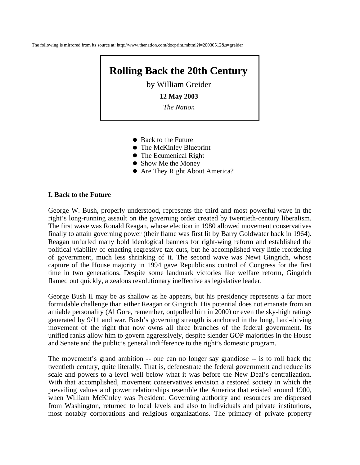The following is mirrored from its source at: http://www.thenation.com/docprint.mhtml?i=20030512&s=greider



- Back to the Future
- The McKinley Blueprint
- The Ecumenical Right
- Show Me the Money
- Are They Right About America?

#### **I. Back to the Future**

George W. Bush, properly understood, represents the third and most powerful wave in the right's long-running assault on the governing order created by twentieth-century liberalism. The first wave was Ronald Reagan, whose election in 1980 allowed movement conservatives finally to attain governing power (their flame was first lit by Barry Goldwater back in 1964). Reagan unfurled many bold ideological banners for right-wing reform and established the political viability of enacting regressive tax cuts, but he accomplished very little reordering of government, much less shrinking of it. The second wave was Newt Gingrich, whose capture of the House majority in 1994 gave Republicans control of Congress for the first time in two generations. Despite some landmark victories like welfare reform, Gingrich flamed out quickly, a zealous revolutionary ineffective as legislative leader.

George Bush II may be as shallow as he appears, but his presidency represents a far more formidable challenge than either Reagan or Gingrich. His potential does not emanate from an amiable personality (Al Gore, remember, outpolled him in 2000) or even the sky-high ratings generated by 9/11 and war. Bush's governing strength is anchored in the long, hard-driving movement of the right that now owns all three branches of the federal government. Its unified ranks allow him to govern aggressively, despite slender GOP majorities in the House and Senate and the public's general indifference to the right's domestic program.

The movement's grand ambition -- one can no longer say grandiose -- is to roll back the twentieth century, quite literally. That is, defenestrate the federal government and reduce its scale and powers to a level well below what it was before the New Deal's centralization. With that accomplished, movement conservatives envision a restored society in which the prevailing values and power relationships resemble the America that existed around 1900, when William McKinley was President. Governing authority and resources are dispersed from Washington, returned to local levels and also to individuals and private institutions, most notably corporations and religious organizations. The primacy of private property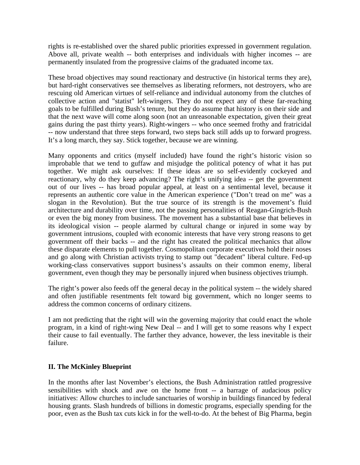rights is re-established over the shared public priorities expressed in government regulation. Above all, private wealth -- both enterprises and individuals with higher incomes -- are permanently insulated from the progressive claims of the graduated income tax.

These broad objectives may sound reactionary and destructive (in historical terms they are), but hard-right conservatives see themselves as liberating reformers, not destroyers, who are rescuing old American virtues of self-reliance and individual autonomy from the clutches of collective action and "statist" left-wingers. They do not expect any of these far-reaching goals to be fulfilled during Bush's tenure, but they do assume that history is on their side and that the next wave will come along soon (not an unreasonable expectation, given their great gains during the past thirty years). Right-wingers -- who once seemed frothy and fratricidal -- now understand that three steps forward, two steps back still adds up to forward progress. It's a long march, they say. Stick together, because we are winning.

Many opponents and critics (myself included) have found the right's historic vision so improbable that we tend to guffaw and misjudge the political potency of what it has put together. We might ask ourselves: If these ideas are so self-evidently cockeyed and reactionary, why do they keep advancing? The right's unifying idea -- get the government out of our lives -- has broad popular appeal, at least on a sentimental level, because it represents an authentic core value in the American experience ("Don't tread on me" was a slogan in the Revolution). But the true source of its strength is the movement's fluid architecture and durability over time, not the passing personalities of Reagan-Gingrich-Bush or even the big money from business. The movement has a substantial base that believes in its ideological vision -- people alarmed by cultural change or injured in some way by government intrusions, coupled with economic interests that have very strong reasons to get government off their backs -- and the right has created the political mechanics that allow these disparate elements to pull together. Cosmopolitan corporate executives hold their noses and go along with Christian activists trying to stamp out "decadent" liberal culture. Fed-up working-class conservatives support business's assaults on their common enemy, liberal government, even though they may be personally injured when business objectives triumph.

The right's power also feeds off the general decay in the political system -- the widely shared and often justifiable resentments felt toward big government, which no longer seems to address the common concerns of ordinary citizens.

I am not predicting that the right will win the governing majority that could enact the whole program, in a kind of right-wing New Deal -- and I will get to some reasons why I expect their cause to fail eventually. The farther they advance, however, the less inevitable is their failure.

# **II. The McKinley Blueprint**

In the months after last November's elections, the Bush Administration rattled progressive sensibilities with shock and awe on the home front -- a barrage of audacious policy initiatives: Allow churches to include sanctuaries of worship in buildings financed by federal housing grants. Slash hundreds of billions in domestic programs, especially spending for the poor, even as the Bush tax cuts kick in for the well-to-do. At the behest of Big Pharma, begin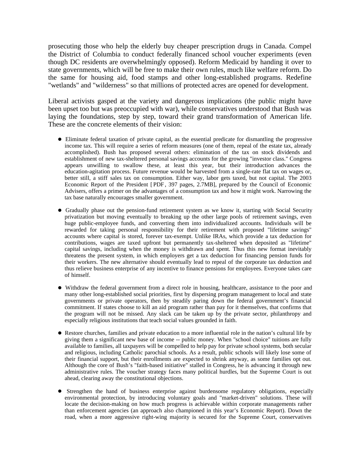prosecuting those who help the elderly buy cheaper prescription drugs in Canada. Compel the District of Columbia to conduct federally financed school voucher experiments (even though DC residents are overwhelmingly opposed). Reform Medicaid by handing it over to state governments, which will be free to make their own rules, much like welfare reform. Do the same for housing aid, food stamps and other long-established programs. Redefine "wetlands" and "wilderness" so that millions of protected acres are opened for development.

Liberal activists gasped at the variety and dangerous implications (the public might have been upset too but was preoccupied with war), while conservatives understood that Bush was laying the foundations, step by step, toward their grand transformation of American life. These are the concrete elements of their vision:

- Eliminate federal taxation of private capital, as the essential predicate for dismantling the progressive income tax. This will require a series of reform measures (one of them, repeal of the estate tax, already accomplished). Bush has proposed several others: elimination of the tax on stock dividends and establishment of new tax-sheltered personal savings accounts for the growing "investor class." Congress appears unwilling to swallow these, at least this year, but their introduction advances the education-agitation process. Future revenue would be harvested from a single-rate flat tax on wages or, better still, a stiff sales tax on consumption. Either way, labor gets taxed, but not capital. The 2003 Economic Report of the President [ PDF , 397 pages, 2.7MB], prepared by the Council of Economic Advisers, offers a primer on the advantages of a consumption tax and how it might work. Narrowing the tax base naturally encourages smaller government.
- Gradually phase out the pension-fund retirement system as we know it, starting with Social Security privatization but moving eventually to breaking up the other large pools of retirement savings, even huge public-employee funds, and converting them into individualized accounts. Individuals will be rewarded for taking personal responsibility for their retirement with proposed "lifetime savings" accounts where capital is stored, forever tax-exempt. Unlike IRAs, which provide a tax deduction for contributions, wages are taxed upfront but permanently tax-sheltered when deposited as "lifetime" capital savings, including when the money is withdrawn and spent. Thus this new format inevitably threatens the present system, in which employers get a tax deduction for financing pension funds for their workers. The new alternative should eventually lead to repeal of the corporate tax deduction and thus relieve business enterprise of any incentive to finance pensions for employees. Everyone takes care of himself.
- Withdraw the federal government from a direct role in housing, healthcare, assistance to the poor and many other long-established social priorities, first by dispersing program management to local and state governments or private operators, then by steadily paring down the federal government's financial commitment. If states choose to kill an aid program rather than pay for it themselves, that confirms that the program will not be missed. Any slack can be taken up by the private sector, philanthropy and especially religious institutions that teach social values grounded in faith.
- Restore churches, families and private education to a more influential role in the nation's cultural life by giving them a significant new base of income -- public money. When "school choice" tuitions are fully available to families, all taxpayers will be compelled to help pay for private school systems, both secular and religious, including Catholic parochial schools. As a result, public schools will likely lose some of their financial support, but their enrollments are expected to shrink anyway, as some families opt out. Although the core of Bush's "faith-based initiative" stalled in Congress, he is advancing it through new administrative rules. The voucher strategy faces many political hurdles, but the Supreme Court is out ahead, clearing away the constitutional objections.
- Strengthen the hand of business enterprise against burdensome regulatory obligations, especially environmental protection, by introducing voluntary goals and "market-driven" solutions. These will locate the decision-making on how much progress is achievable within corporate managements rather than enforcement agencies (an approach also championed in this year's Economic Report). Down the road, when a more aggressive right-wing majority is secured for the Supreme Court, conservatives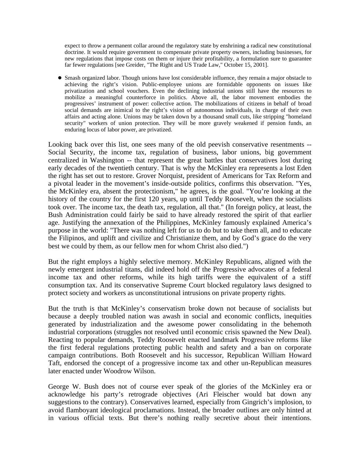expect to throw a permanent collar around the regulatory state by enshrining a radical new constitutional doctrine. It would require government to compensate private property owners, including businesses, for new regulations that impose costs on them or injure their profitability, a formulation sure to guarantee far fewer regulations [see Greider, "The Right and US Trade Law," October 15, 2001].

Smash organized labor. Though unions have lost considerable influence, they remain a major obstacle to achieving the right's vision. Public-employee unions are formidable opponents on issues like privatization and school vouchers. Even the declining industrial unions still have the resources to mobilize a meaningful counterforce in politics. Above all, the labor movement embodies the progressives' instrument of power: collective action. The mobilizations of citizens in behalf of broad social demands are inimical to the right's vision of autonomous individuals, in charge of their own affairs and acting alone. Unions may be taken down by a thousand small cuts, like stripping "homeland security" workers of union protection. They will be more gravely weakened if pension funds, an enduring locus of labor power, are privatized.

Looking back over this list, one sees many of the old peevish conservative resentments -- Social Security, the income tax, regulation of business, labor unions, big government centralized in Washington -- that represent the great battles that conservatives lost during early decades of the twentieth century. That is why the McKinley era represents a lost Eden the right has set out to restore. Grover Norquist, president of Americans for Tax Reform and a pivotal leader in the movement's inside-outside politics, confirms this observation. "Yes, the McKinley era, absent the protectionism," he agrees, is the goal. "You're looking at the history of the country for the first 120 years, up until Teddy Roosevelt, when the socialists took over. The income tax, the death tax, regulation, all that." (In foreign policy, at least, the Bush Administration could fairly be said to have already restored the spirit of that earlier age. Justifying the annexation of the Philippines, McKinley famously explained America's purpose in the world: "There was nothing left for us to do but to take them all, and to educate the Filipinos, and uplift and civilize and Christianize them, and by God's grace do the very best we could by them, as our fellow men for whom Christ also died.")

But the right employs a highly selective memory. McKinley Republicans, aligned with the newly emergent industrial titans, did indeed hold off the Progressive advocates of a federal income tax and other reforms, while its high tariffs were the equivalent of a stiff consumption tax. And its conservative Supreme Court blocked regulatory laws designed to protect society and workers as unconstitutional intrusions on private property rights.

But the truth is that McKinley's conservatism broke down not because of socialists but because a deeply troubled nation was awash in social and economic conflicts, inequities generated by industrialization and the awesome power consolidating in the behemoth industrial corporations (struggles not resolved until economic crisis spawned the New Deal). Reacting to popular demands, Teddy Roosevelt enacted landmark Progressive reforms like the first federal regulations protecting public health and safety and a ban on corporate campaign contributions. Both Roosevelt and his successor, Republican William Howard Taft, endorsed the concept of a progressive income tax and other un-Republican measures later enacted under Woodrow Wilson.

George W. Bush does not of course ever speak of the glories of the McKinley era or acknowledge his party's retrograde objectives (Ari Fleischer would bat down any suggestions to the contrary). Conservatives learned, especially from Gingrich's implosion, to avoid flamboyant ideological proclamations. Instead, the broader outlines are only hinted at in various official texts. But there's nothing really secretive about their intentions.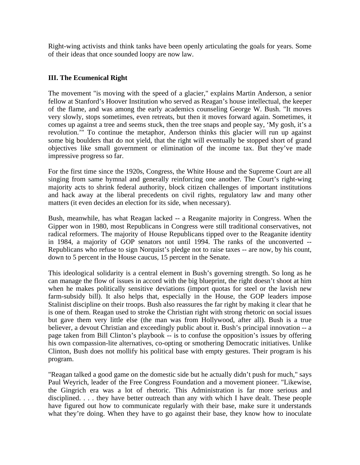Right-wing activists and think tanks have been openly articulating the goals for years. Some of their ideas that once sounded loopy are now law.

## **III. The Ecumenical Right**

The movement "is moving with the speed of a glacier," explains Martin Anderson, a senior fellow at Stanford's Hoover Institution who served as Reagan's house intellectual, the keeper of the flame, and was among the early academics counseling George W. Bush. "It moves very slowly, stops sometimes, even retreats, but then it moves forward again. Sometimes, it comes up against a tree and seems stuck, then the tree snaps and people say, 'My gosh, it's a revolution.'" To continue the metaphor, Anderson thinks this glacier will run up against some big boulders that do not yield, that the right will eventually be stopped short of grand objectives like small government or elimination of the income tax. But they've made impressive progress so far.

For the first time since the 1920s, Congress, the White House and the Supreme Court are all singing from same hymnal and generally reinforcing one another. The Court's right-wing majority acts to shrink federal authority, block citizen challenges of important institutions and hack away at the liberal precedents on civil rights, regulatory law and many other matters (it even decides an election for its side, when necessary).

Bush, meanwhile, has what Reagan lacked -- a Reaganite majority in Congress. When the Gipper won in 1980, most Republicans in Congress were still traditional conservatives, not radical reformers. The majority of House Republicans tipped over to the Reaganite identity in 1984, a majority of GOP senators not until 1994. The ranks of the unconverted -- Republicans who refuse to sign Norquist's pledge not to raise taxes -- are now, by his count, down to 5 percent in the House caucus, 15 percent in the Senate.

This ideological solidarity is a central element in Bush's governing strength. So long as he can manage the flow of issues in accord with the big blueprint, the right doesn't shoot at him when he makes politically sensitive deviations (import quotas for steel or the lavish new farm-subsidy bill). It also helps that, especially in the House, the GOP leaders impose Stalinist discipline on their troops. Bush also reassures the far right by making it clear that he is one of them. Reagan used to stroke the Christian right with strong rhetoric on social issues but gave them very little else (the man was from Hollywood, after all). Bush is a true believer, a devout Christian and exceedingly public about it. Bush's principal innovation -- a page taken from Bill Clinton's playbook -- is to confuse the opposition's issues by offering his own compassion-lite alternatives, co-opting or smothering Democratic initiatives. Unlike Clinton, Bush does not mollify his political base with empty gestures. Their program is his program.

"Reagan talked a good game on the domestic side but he actually didn't push for much," says Paul Weyrich, leader of the Free Congress Foundation and a movement pioneer. "Likewise, the Gingrich era was a lot of rhetoric. This Administration is far more serious and disciplined. . . . they have better outreach than any with which I have dealt. These people have figured out how to communicate regularly with their base, make sure it understands what they're doing. When they have to go against their base, they know how to inoculate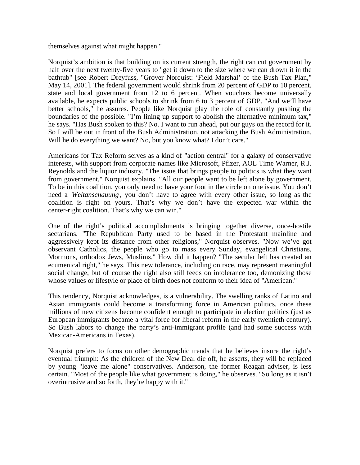themselves against what might happen."

Norquist's ambition is that building on its current strength, the right can cut government by half over the next twenty-five years to "get it down to the size where we can drown it in the bathtub" [see Robert Dreyfuss, "Grover Norquist: 'Field Marshal' of the Bush Tax Plan," May 14, 2001]. The federal government would shrink from 20 percent of GDP to 10 percent, state and local government from 12 to 6 percent. When vouchers become universally available, he expects public schools to shrink from 6 to 3 percent of GDP. "And we'll have better schools," he assures. People like Norquist play the role of constantly pushing the boundaries of the possible. "I'm lining up support to abolish the alternative minimum tax," he says. "Has Bush spoken to this? No. I want to run ahead, put our guys on the record for it. So I will be out in front of the Bush Administration, not attacking the Bush Administration. Will he do everything we want? No, but you know what? I don't care."

Americans for Tax Reform serves as a kind of "action central" for a galaxy of conservative interests, with support from corporate names like Microsoft, Pfizer, AOL Time Warner, R.J. Reynolds and the liquor industry. "The issue that brings people to politics is what they want from government," Norquist explains. "All our people want to be left alone by government. To be in this coalition, you only need to have your foot in the circle on one issue. You don't need a *Weltanschauung* , you don't have to agree with every other issue, so long as the coalition is right on yours. That's why we don't have the expected war within the center-right coalition. That's why we can win."

One of the right's political accomplishments is bringing together diverse, once-hostile sectarians. "The Republican Party used to be based in the Protestant mainline and aggressively kept its distance from other religions," Norquist observes. "Now we've got observant Catholics, the people who go to mass every Sunday, evangelical Christians, Mormons, orthodox Jews, Muslims." How did it happen? "The secular left has created an ecumenical right," he says. This new tolerance, including on race, may represent meaningful social change, but of course the right also still feeds on intolerance too, demonizing those whose values or lifestyle or place of birth does not conform to their idea of "American."

This tendency, Norquist acknowledges, is a vulnerability. The swelling ranks of Latino and Asian immigrants could become a transforming force in American politics, once these millions of new citizens become confident enough to participate in election politics (just as European immigrants became a vital force for liberal reform in the early twentieth century). So Bush labors to change the party's anti-immigrant profile (and had some success with Mexican-Americans in Texas).

Norquist prefers to focus on other demographic trends that he believes insure the right's eventual triumph: As the children of the New Deal die off, he asserts, they will be replaced by young "leave me alone" conservatives. Anderson, the former Reagan adviser, is less certain. "Most of the people like what government is doing," he observes. "So long as it isn't overintrusive and so forth, they're happy with it."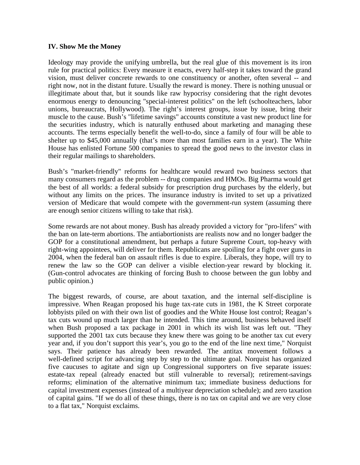#### **IV. Show Me the Money**

Ideology may provide the unifying umbrella, but the real glue of this movement is its iron rule for practical politics: Every measure it enacts, every half-step it takes toward the grand vision, must deliver concrete rewards to one constituency or another, often several -- and right now, not in the distant future. Usually the reward is money. There is nothing unusual or illegitimate about that, but it sounds like raw hypocrisy considering that the right devotes enormous energy to denouncing "special-interest politics" on the left (schoolteachers, labor unions, bureaucrats, Hollywood). The right's interest groups, issue by issue, bring their muscle to the cause. Bush's "lifetime savings" accounts constitute a vast new product line for the securities industry, which is naturally enthused about marketing and managing these accounts. The terms especially benefit the well-to-do, since a family of four will be able to shelter up to \$45,000 annually (that's more than most families earn in a year). The White House has enlisted Fortune 500 companies to spread the good news to the investor class in their regular mailings to shareholders.

Bush's "market-friendly" reforms for healthcare would reward two business sectors that many consumers regard as the problem -- drug companies and HMOs. Big Pharma would get the best of all worlds: a federal subsidy for prescription drug purchases by the elderly, but without any limits on the prices. The insurance industry is invited to set up a privatized version of Medicare that would compete with the government-run system (assuming there are enough senior citizens willing to take that risk).

Some rewards are not about money. Bush has already provided a victory for "pro-lifers" with the ban on late-term abortions. The antiabortionists are realists now and no longer badger the GOP for a constitutional amendment, but perhaps a future Supreme Court, top-heavy with right-wing appointees, will deliver for them. Republicans are spoiling for a fight over guns in 2004, when the federal ban on assault rifles is due to expire. Liberals, they hope, will try to renew the law so the GOP can deliver a visible election-year reward by blocking it. (Gun-control advocates are thinking of forcing Bush to choose between the gun lobby and public opinion.)

The biggest rewards, of course, are about taxation, and the internal self-discipline is impressive. When Reagan proposed his huge tax-rate cuts in 1981, the K Street corporate lobbyists piled on with their own list of goodies and the White House lost control; Reagan's tax cuts wound up much larger than he intended. This time around, business behaved itself when Bush proposed a tax package in 2001 in which its wish list was left out. "They supported the 2001 tax cuts because they knew there was going to be another tax cut every year and, if you don't support this year's, you go to the end of the line next time," Norquist says. Their patience has already been rewarded. The antitax movement follows a well-defined script for advancing step by step to the ultimate goal. Norquist has organized five caucuses to agitate and sign up Congressional supporters on five separate issues: estate-tax repeal (already enacted but still vulnerable to reversal); retirement-savings reforms; elimination of the alternative minimum tax; immediate business deductions for capital investment expenses (instead of a multiyear depreciation schedule); and zero taxation of capital gains. "If we do all of these things, there is no tax on capital and we are very close to a flat tax," Norquist exclaims.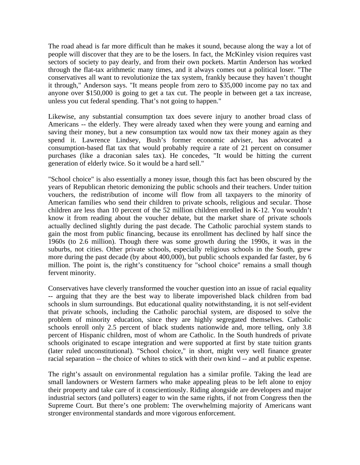The road ahead is far more difficult than he makes it sound, because along the way a lot of people will discover that they are to be the losers. In fact, the McKinley vision requires vast sectors of society to pay dearly, and from their own pockets. Martin Anderson has worked through the flat-tax arithmetic many times, and it always comes out a political loser. "The conservatives all want to revolutionize the tax system, frankly because they haven't thought it through," Anderson says. "It means people from zero to \$35,000 income pay no tax and anyone over \$150,000 is going to get a tax cut. The people in between get a tax increase, unless you cut federal spending. That's not going to happen."

Likewise, any substantial consumption tax does severe injury to another broad class of Americans -- the elderly. They were already taxed when they were young and earning and saving their money, but a new consumption tax would now tax their money again as they spend it. Lawrence Lindsey, Bush's former economic adviser, has advocated a consumption-based flat tax that would probably require a rate of 21 percent on consumer purchases (like a draconian sales tax). He concedes, "It would be hitting the current generation of elderly twice. So it would be a hard sell."

"School choice" is also essentially a money issue, though this fact has been obscured by the years of Republican rhetoric demonizing the public schools and their teachers. Under tuition vouchers, the redistribution of income will flow from all taxpayers to the minority of American families who send their children to private schools, religious and secular. Those children are less than 10 percent of the 52 million children enrolled in K-12. You wouldn't know it from reading about the voucher debate, but the market share of private schools actually declined slightly during the past decade. The Catholic parochial system stands to gain the most from public financing, because its enrollment has declined by half since the 1960s (to 2.6 million). Though there was some growth during the 1990s, it was in the suburbs, not cities. Other private schools, especially religious schools in the South, grew more during the past decade (by about 400,000), but public schools expanded far faster, by 6 million. The point is, the right's constituency for "school choice" remains a small though fervent minority.

Conservatives have cleverly transformed the voucher question into an issue of racial equality -- arguing that they are the best way to liberate impoverished black children from bad schools in slum surroundings. But educational quality notwithstanding, it is not self-evident that private schools, including the Catholic parochial system, are disposed to solve the problem of minority education, since they are highly segregated themselves. Catholic schools enroll only 2.5 percent of black students nationwide and, more telling, only 3.8 percent of Hispanic children, most of whom are Catholic. In the South hundreds of private schools originated to escape integration and were supported at first by state tuition grants (later ruled unconstitutional). "School choice," in short, might very well finance greater racial separation -- the choice of whites to stick with their own kind -- and at public expense.

The right's assault on environmental regulation has a similar profile. Taking the lead are small landowners or Western farmers who make appealing pleas to be left alone to enjoy their property and take care of it conscientiously. Riding alongside are developers and major industrial sectors (and polluters) eager to win the same rights, if not from Congress then the Supreme Court. But there's one problem: The overwhelming majority of Americans want stronger environmental standards and more vigorous enforcement.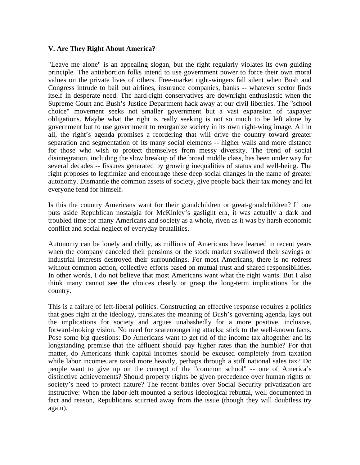## **V. Are They Right About America?**

"Leave me alone" is an appealing slogan, but the right regularly violates its own guiding principle. The antiabortion folks intend to use government power to force their own moral values on the private lives of others. Free-market right-wingers fall silent when Bush and Congress intrude to bail out airlines, insurance companies, banks -- whatever sector finds itself in desperate need. The hard-right conservatives are downright enthusiastic when the Supreme Court and Bush's Justice Department hack away at our civil liberties. The "school choice" movement seeks not smaller government but a vast expansion of taxpayer obligations. Maybe what the right is really seeking is not so much to be left alone by government but to use government to reorganize society in its own right-wing image. All in all, the right's agenda promises a reordering that will drive the country toward greater separation and segmentation of its many social elements -- higher walls and more distance for those who wish to protect themselves from messy diversity. The trend of social disintegration, including the slow breakup of the broad middle class, has been under way for several decades -- fissures generated by growing inequalities of status and well-being. The right proposes to legitimize and encourage these deep social changes in the name of greater autonomy. Dismantle the common assets of society, give people back their tax money and let everyone fend for himself.

Is this the country Americans want for their grandchildren or great-grandchildren? If one puts aside Republican nostalgia for McKinley's gaslight era, it was actually a dark and troubled time for many Americans and society as a whole, riven as it was by harsh economic conflict and social neglect of everyday brutalities.

Autonomy can be lonely and chilly, as millions of Americans have learned in recent years when the company canceled their pensions or the stock market swallowed their savings or industrial interests destroyed their surroundings. For most Americans, there is no redress without common action, collective efforts based on mutual trust and shared responsibilities. In other words, I do not believe that most Americans want what the right wants. But I also think many cannot see the choices clearly or grasp the long-term implications for the country.

This is a failure of left-liberal politics. Constructing an effective response requires a politics that goes right at the ideology, translates the meaning of Bush's governing agenda, lays out the implications for society and argues unabashedly for a more positive, inclusive, forward-looking vision. No need for scaremongering attacks; stick to the well-known facts. Pose some big questions: Do Americans want to get rid of the income tax altogether and its longstanding premise that the affluent should pay higher rates than the humble? For that matter, do Americans think capital incomes should be excused completely from taxation while labor incomes are taxed more heavily, perhaps through a stiff national sales tax? Do people want to give up on the concept of the "common school" -- one of America's distinctive achievements? Should property rights be given precedence over human rights or society's need to protect nature? The recent battles over Social Security privatization are instructive: When the labor-left mounted a serious ideological rebuttal, well documented in fact and reason, Republicans scurried away from the issue (though they will doubtless try again).